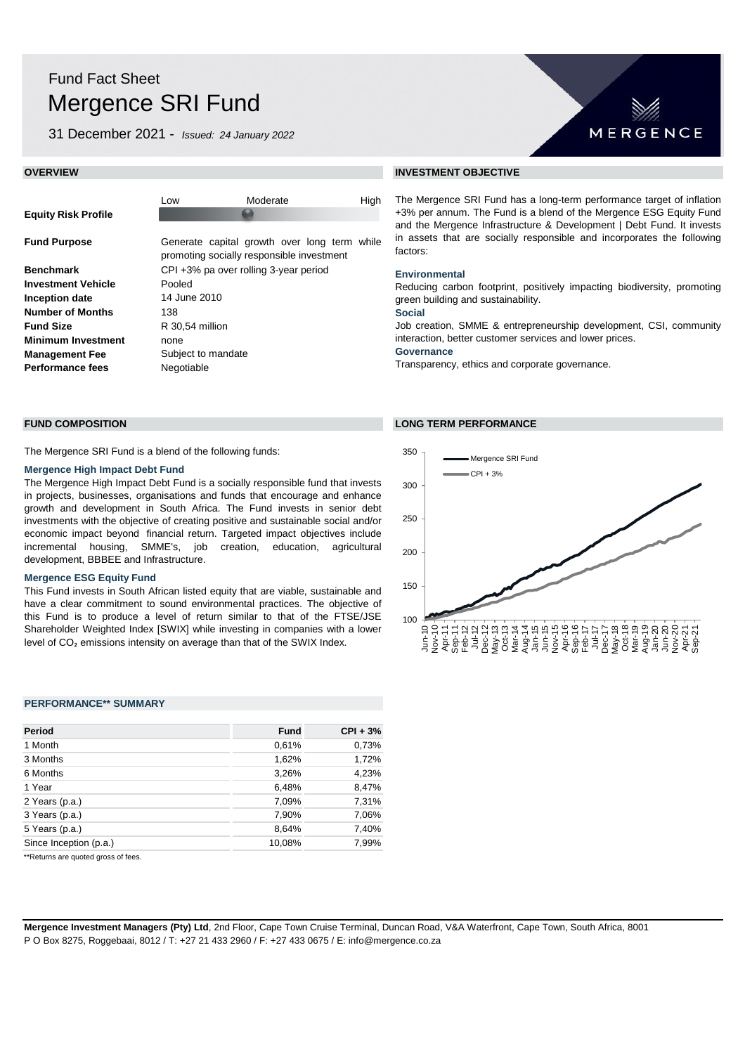# Fund Fact Sheet Mergence SRI Fund

31 December 2021 - *Issued: 24 January 2022*

|                            | Low                                  | Moderate                                                                                  | High |
|----------------------------|--------------------------------------|-------------------------------------------------------------------------------------------|------|
| <b>Equity Risk Profile</b> |                                      |                                                                                           |      |
|                            |                                      |                                                                                           |      |
| <b>Fund Purpose</b>        |                                      | Generate capital growth over long term while<br>promoting socially responsible investment |      |
| Benchmark                  | CPI+3% pa over rolling 3-year period |                                                                                           |      |
| Investment Vehicle         | Pooled                               |                                                                                           |      |
| Inception date             | 14 June 2010                         |                                                                                           |      |
| Number of Months           | 138                                  |                                                                                           |      |
| <b>Fund Size</b>           | R 30,54 million                      |                                                                                           |      |
| Minimum Investment         | none                                 |                                                                                           |      |
| Management Fee             | Subject to mandate                   |                                                                                           |      |
| Performance fees           | Negotiable                           |                                                                                           |      |
|                            |                                      |                                                                                           |      |

The Mergence SRI Fund is a blend of the following funds:

## **Mergence High Impact Debt Fund**

The Mergence High Impact Debt Fund is a socially responsible fund that invests in projects, businesses, organisations and funds that encourage and enhance growth and development in South Africa. The Fund invests in senior debt investments with the objective of creating positive and sustainable social and/or economic impact beyond financial return. Targeted impact objectives include incremental housing, SMME's, job creation, education, agricultural development, BBBEE and Infrastructure.

#### **Mergence ESG Equity Fund**

This Fund invests in South African listed equity that are viable, sustainable and have a clear commitment to sound environmental practices. The objective of this Fund is to produce a level of return similar to that of the FTSE/JSE Shareholder Weighted Index [SWIX] while investing in companies with a lower level of CO<sub>2</sub> emissions intensity on average than that of the SWIX Index.

#### **PERFORMANCE\*\* SUMMARY**

|        | $CPI + 3%$  |  |
|--------|-------------|--|
| 0,61%  | 0,73%       |  |
| 1,62%  | 1,72%       |  |
| 3,26%  | 4,23%       |  |
| 6,48%  | 8,47%       |  |
| 7,09%  | 7,31%       |  |
| 7,90%  | 7,06%       |  |
| 8,64%  | 7,40%       |  |
| 10,08% | 7,99%       |  |
|        | <b>Fund</b> |  |

\*\*Returns are quoted gross of fees.

## **OVERVIEW INVESTMENT OBJECTIVE**

The Mergence SRI Fund has a long-term performance target of inflation +3% per annum. The Fund is a blend of the Mergence ESG Equity Fund and the Mergence Infrastructure & Development | Debt Fund. It invests in assets that are socially responsible and incorporates the following factors:

MERGENCE

#### **Environmental**

Reducing carbon footprint, positively impacting biodiversity, promoting green building and sustainability.

#### **Social**

Job creation, SMME & entrepreneurship development, CSI, community interaction, better customer services and lower prices.

#### **Governance**

Transparency, ethics and corporate governance.

## **FUND COMPOSITION LONG TERM PERFORMANCE**